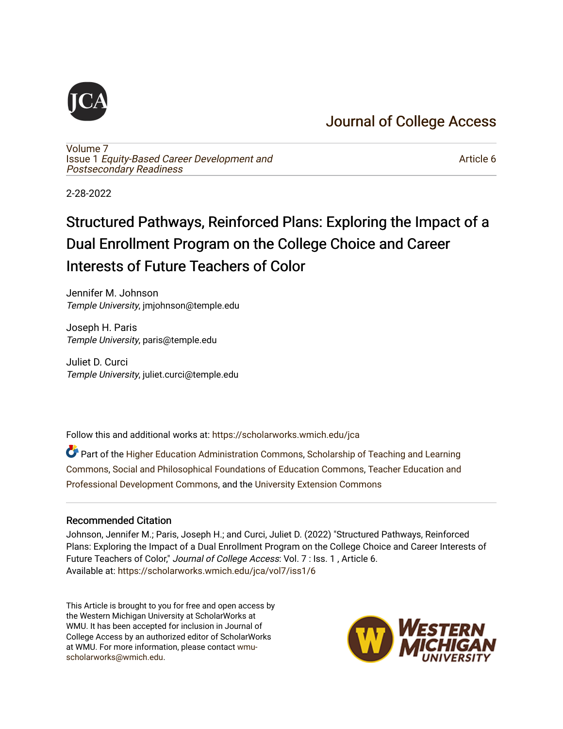# [Journal of College Access](https://scholarworks.wmich.edu/jca)

[Volume 7](https://scholarworks.wmich.edu/jca/vol7) Issue 1 [Equity-Based Career Development and](https://scholarworks.wmich.edu/jca/vol7/iss1) [Postsecondary Readiness](https://scholarworks.wmich.edu/jca/vol7/iss1) 

[Article 6](https://scholarworks.wmich.edu/jca/vol7/iss1/6) 

2-28-2022

# Structured Pathways, Reinforced Plans: Exploring the Impact of a Dual Enrollment Program on the College Choice and Career Interests of Future Teachers of Color

Jennifer M. Johnson Temple University, jmjohnson@temple.edu

Joseph H. Paris Temple University, paris@temple.edu

Juliet D. Curci Temple University, juliet.curci@temple.edu

Follow this and additional works at: [https://scholarworks.wmich.edu/jca](https://scholarworks.wmich.edu/jca?utm_source=scholarworks.wmich.edu%2Fjca%2Fvol7%2Fiss1%2F6&utm_medium=PDF&utm_campaign=PDFCoverPages)

Part of the [Higher Education Administration Commons,](http://network.bepress.com/hgg/discipline/791?utm_source=scholarworks.wmich.edu%2Fjca%2Fvol7%2Fiss1%2F6&utm_medium=PDF&utm_campaign=PDFCoverPages) [Scholarship of Teaching and Learning](http://network.bepress.com/hgg/discipline/1328?utm_source=scholarworks.wmich.edu%2Fjca%2Fvol7%2Fiss1%2F6&utm_medium=PDF&utm_campaign=PDFCoverPages) [Commons](http://network.bepress.com/hgg/discipline/1328?utm_source=scholarworks.wmich.edu%2Fjca%2Fvol7%2Fiss1%2F6&utm_medium=PDF&utm_campaign=PDFCoverPages), [Social and Philosophical Foundations of Education Commons,](http://network.bepress.com/hgg/discipline/799?utm_source=scholarworks.wmich.edu%2Fjca%2Fvol7%2Fiss1%2F6&utm_medium=PDF&utm_campaign=PDFCoverPages) [Teacher Education and](http://network.bepress.com/hgg/discipline/803?utm_source=scholarworks.wmich.edu%2Fjca%2Fvol7%2Fiss1%2F6&utm_medium=PDF&utm_campaign=PDFCoverPages)  [Professional Development Commons](http://network.bepress.com/hgg/discipline/803?utm_source=scholarworks.wmich.edu%2Fjca%2Fvol7%2Fiss1%2F6&utm_medium=PDF&utm_campaign=PDFCoverPages), and the [University Extension Commons](http://network.bepress.com/hgg/discipline/1361?utm_source=scholarworks.wmich.edu%2Fjca%2Fvol7%2Fiss1%2F6&utm_medium=PDF&utm_campaign=PDFCoverPages)

#### Recommended Citation

Johnson, Jennifer M.; Paris, Joseph H.; and Curci, Juliet D. (2022) "Structured Pathways, Reinforced Plans: Exploring the Impact of a Dual Enrollment Program on the College Choice and Career Interests of Future Teachers of Color," Journal of College Access: Vol. 7 : Iss. 1 , Article 6. Available at: [https://scholarworks.wmich.edu/jca/vol7/iss1/6](https://scholarworks.wmich.edu/jca/vol7/iss1/6?utm_source=scholarworks.wmich.edu%2Fjca%2Fvol7%2Fiss1%2F6&utm_medium=PDF&utm_campaign=PDFCoverPages) 

This Article is brought to you for free and open access by the Western Michigan University at ScholarWorks at WMU. It has been accepted for inclusion in Journal of College Access by an authorized editor of ScholarWorks at WMU. For more information, please contact [wmu](mailto:wmu-scholarworks@wmich.edu)[scholarworks@wmich.edu.](mailto:wmu-scholarworks@wmich.edu)

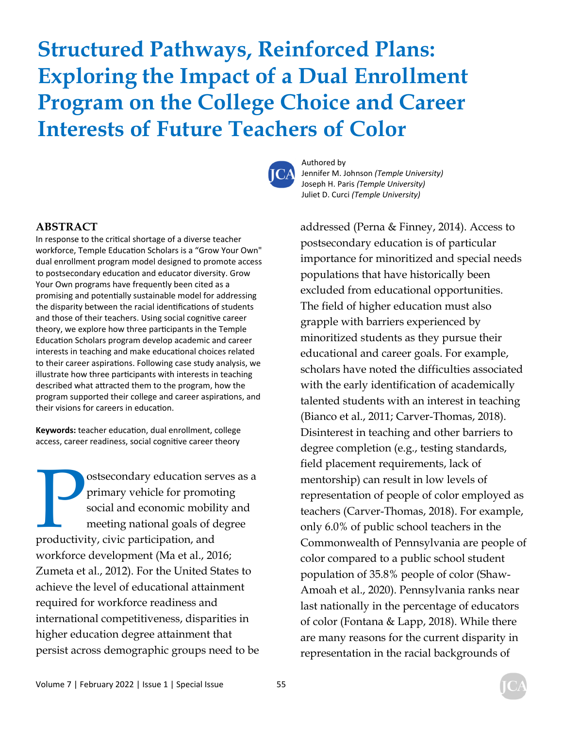# **Structured Pathways, Reinforced Plans: Exploring the Impact of a Dual Enrollment Program on the College Choice and Career Interests of Future Teachers of Color**



Authored by Jennifer M. Johnson *(Temple University)* Joseph H. Paris *(Temple University)*  Juliet D. Curci *(Temple University)*

#### **ABSTRACT**

In response to the critical shortage of a diverse teacher workforce, Temple Education Scholars is a "Grow Your Own" dual enrollment program model designed to promote access to postsecondary education and educator diversity. Grow Your Own programs have frequently been cited as a promising and potentially sustainable model for addressing the disparity between the racial identifications of students and those of their teachers. Using social cognitive career theory, we explore how three participants in the Temple Education Scholars program develop academic and career interests in teaching and make educational choices related to their career aspirations. Following case study analysis, we illustrate how three participants with interests in teaching described what attracted them to the program, how the program supported their college and career aspirations, and their visions for careers in education.

Keywords: teacher education, dual enrollment, college access, career readiness, social cognitive career theory

**Postsecondary education serves as a primary vehicle for promoting social and economic mobility and meeting national goals of degree productivity, civic participation, and** primary vehicle for promoting social and economic mobility and meeting national goals of degree workforce development (Ma et al., 2016; Zumeta et al., 2012). For the United States to achieve the level of educational attainment required for workforce readiness and international competitiveness, disparities in higher education degree attainment that persist across demographic groups need to be addressed (Perna & Finney, 2014). Access to postsecondary education is of particular importance for minoritized and special needs populations that have historically been excluded from educational opportunities. The field of higher education must also grapple with barriers experienced by minoritized students as they pursue their educational and career goals. For example, scholars have noted the difficulties associated with the early identification of academically talented students with an interest in teaching (Bianco et al., 2011; Carver-Thomas, 2018). Disinterest in teaching and other barriers to degree completion (e.g., testing standards, field placement requirements, lack of mentorship) can result in low levels of representation of people of color employed as teachers (Carver-Thomas, 2018). For example, only 6.0% of public school teachers in the Commonwealth of Pennsylvania are people of color compared to a public school student population of 35.8% people of color (Shaw-Amoah et al., 2020). Pennsylvania ranks near last nationally in the percentage of educators of color (Fontana & Lapp, 2018). While there are many reasons for the current disparity in representation in the racial backgrounds of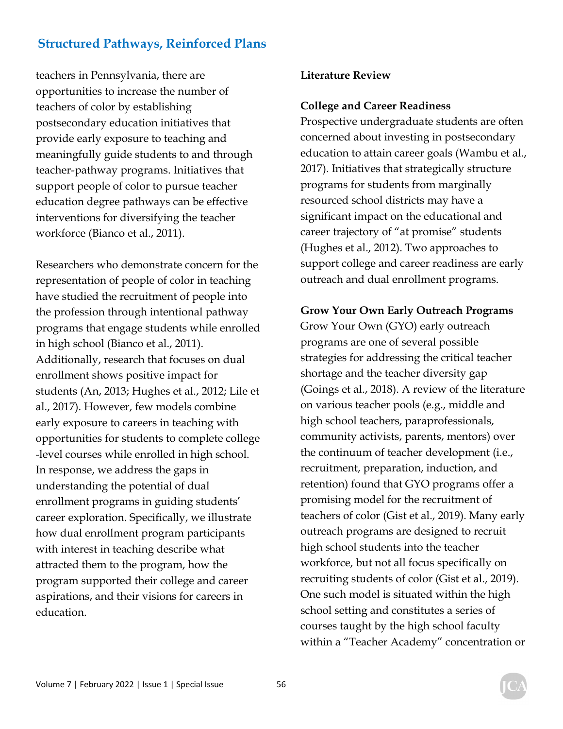teachers in Pennsylvania, there are opportunities to increase the number of teachers of color by establishing postsecondary education initiatives that provide early exposure to teaching and meaningfully guide students to and through teacher-pathway programs. Initiatives that support people of color to pursue teacher education degree pathways can be effective interventions for diversifying the teacher workforce (Bianco et al., 2011).

Researchers who demonstrate concern for the representation of people of color in teaching have studied the recruitment of people into the profession through intentional pathway programs that engage students while enrolled in high school (Bianco et al., 2011). Additionally, research that focuses on dual enrollment shows positive impact for students (An, 2013; Hughes et al., 2012; Lile et al., 2017). However, few models combine early exposure to careers in teaching with opportunities for students to complete college -level courses while enrolled in high school. In response, we address the gaps in understanding the potential of dual enrollment programs in guiding students' career exploration. Specifically, we illustrate how dual enrollment program participants with interest in teaching describe what attracted them to the program, how the program supported their college and career aspirations, and their visions for careers in education.

#### **Literature Review**

#### **College and Career Readiness**

Prospective undergraduate students are often concerned about investing in postsecondary education to attain career goals (Wambu et al., 2017). Initiatives that strategically structure programs for students from marginally resourced school districts may have a significant impact on the educational and career trajectory of "at promise" students (Hughes et al., 2012). Two approaches to support college and career readiness are early outreach and dual enrollment programs.

#### **Grow Your Own Early Outreach Programs**

Grow Your Own (GYO) early outreach programs are one of several possible strategies for addressing the critical teacher shortage and the teacher diversity gap (Goings et al., 2018). A review of the literature on various teacher pools (e.g., middle and high school teachers, paraprofessionals, community activists, parents, mentors) over the continuum of teacher development (i.e., recruitment, preparation, induction, and retention) found that GYO programs offer a promising model for the recruitment of teachers of color (Gist et al., 2019). Many early outreach programs are designed to recruit high school students into the teacher workforce, but not all focus specifically on recruiting students of color (Gist et al., 2019). One such model is situated within the high school setting and constitutes a series of courses taught by the high school faculty within a "Teacher Academy" concentration or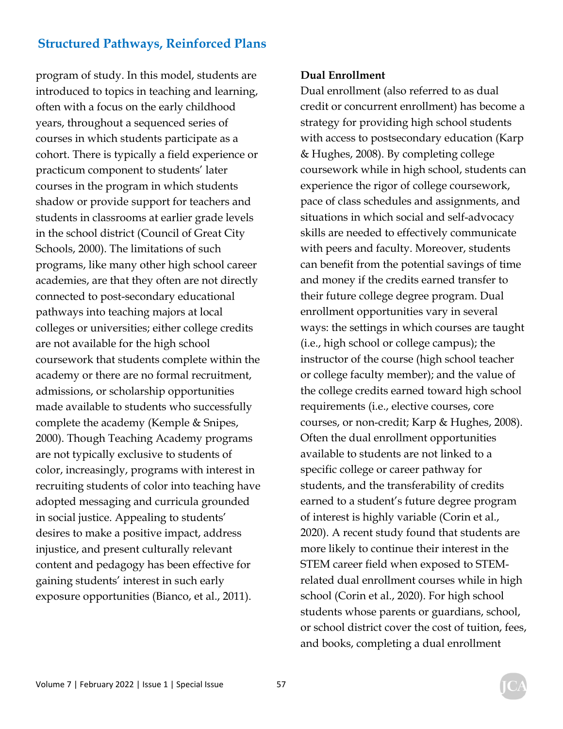program of study. In this model, students are introduced to topics in teaching and learning, often with a focus on the early childhood years, throughout a sequenced series of courses in which students participate as a cohort. There is typically a field experience or practicum component to students' later courses in the program in which students shadow or provide support for teachers and students in classrooms at earlier grade levels in the school district (Council of Great City Schools, 2000). The limitations of such programs, like many other high school career academies, are that they often are not directly connected to post-secondary educational pathways into teaching majors at local colleges or universities; either college credits are not available for the high school coursework that students complete within the academy or there are no formal recruitment, admissions, or scholarship opportunities made available to students who successfully complete the academy (Kemple & Snipes, 2000). Though Teaching Academy programs are not typically exclusive to students of color, increasingly, programs with interest in recruiting students of color into teaching have adopted messaging and curricula grounded in social justice. Appealing to students' desires to make a positive impact, address injustice, and present culturally relevant content and pedagogy has been effective for gaining students' interest in such early exposure opportunities (Bianco, et al., 2011).

#### **Dual Enrollment**

Dual enrollment (also referred to as dual credit or concurrent enrollment) has become a strategy for providing high school students with access to postsecondary education (Karp & Hughes, 2008). By completing college coursework while in high school, students can experience the rigor of college coursework, pace of class schedules and assignments, and situations in which social and self-advocacy skills are needed to effectively communicate with peers and faculty. Moreover, students can benefit from the potential savings of time and money if the credits earned transfer to their future college degree program. Dual enrollment opportunities vary in several ways: the settings in which courses are taught (i.e., high school or college campus); the instructor of the course (high school teacher or college faculty member); and the value of the college credits earned toward high school requirements (i.e., elective courses, core courses, or non-credit; Karp & Hughes, 2008). Often the dual enrollment opportunities available to students are not linked to a specific college or career pathway for students, and the transferability of credits earned to a student's future degree program of interest is highly variable (Corin et al., 2020). A recent study found that students are more likely to continue their interest in the STEM career field when exposed to STEMrelated dual enrollment courses while in high school (Corin et al., 2020). For high school students whose parents or guardians, school, or school district cover the cost of tuition, fees, and books, completing a dual enrollment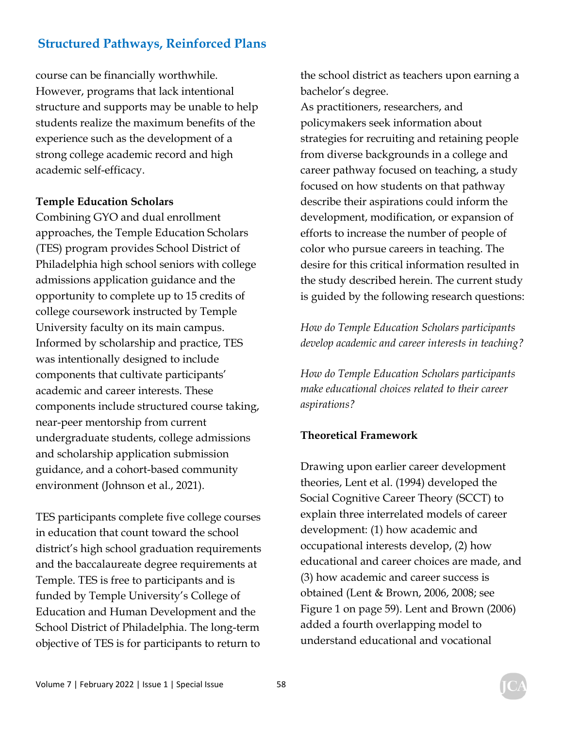course can be financially worthwhile. However, programs that lack intentional structure and supports may be unable to help students realize the maximum benefits of the experience such as the development of a strong college academic record and high academic self-efficacy.

#### **Temple Education Scholars**

Combining GYO and dual enrollment approaches, the Temple Education Scholars (TES) program provides School District of Philadelphia high school seniors with college admissions application guidance and the opportunity to complete up to 15 credits of college coursework instructed by Temple University faculty on its main campus. Informed by scholarship and practice, TES was intentionally designed to include components that cultivate participants' academic and career interests. These components include structured course taking, near-peer mentorship from current undergraduate students, college admissions and scholarship application submission guidance, and a cohort-based community environment (Johnson et al., 2021).

TES participants complete five college courses in education that count toward the school district's high school graduation requirements and the baccalaureate degree requirements at Temple. TES is free to participants and is funded by Temple University's College of Education and Human Development and the School District of Philadelphia. The long-term objective of TES is for participants to return to the school district as teachers upon earning a bachelor's degree.

As practitioners, researchers, and policymakers seek information about strategies for recruiting and retaining people from diverse backgrounds in a college and career pathway focused on teaching, a study focused on how students on that pathway describe their aspirations could inform the development, modification, or expansion of efforts to increase the number of people of color who pursue careers in teaching. The desire for this critical information resulted in the study described herein. The current study is guided by the following research questions:

*How do Temple Education Scholars participants develop academic and career interests in teaching?* 

*How do Temple Education Scholars participants make educational choices related to their career aspirations?* 

#### **Theoretical Framework**

Drawing upon earlier career development theories, Lent et al. (1994) developed the Social Cognitive Career Theory (SCCT) to explain three interrelated models of career development: (1) how academic and occupational interests develop, (2) how educational and career choices are made, and (3) how academic and career success is obtained (Lent & Brown, 2006, 2008; see Figure 1 on page 59). Lent and Brown (2006) added a fourth overlapping model to understand educational and vocational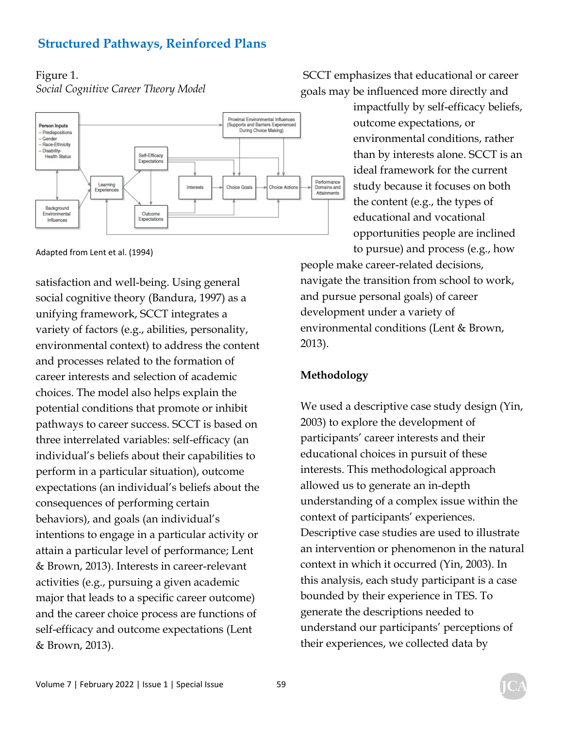# Figure 1.

*Social Cognitive Career Theory Model*



Adapted from Lent et al. (1994)

satisfaction and well-being. Using general social cognitive theory (Bandura, 1997) as a unifying framework, SCCT integrates a variety of factors (e.g., abilities, personality, environmental context) to address the content and processes related to the formation of career interests and selection of academic choices. The model also helps explain the potential conditions that promote or inhibit pathways to career success. SCCT is based on three interrelated variables: self-efficacy (an individual's beliefs about their capabilities to perform in a particular situation), outcome expectations (an individual's beliefs about the consequences of performing certain behaviors), and goals (an individual's intentions to engage in a particular activity or attain a particular level of performance; Lent & Brown, 2013). Interests in career-relevant activities (e.g., pursuing a given academic major that leads to a specific career outcome) and the career choice process are functions of self-efficacy and outcome expectations (Lent & Brown, 2013).

 SCCT emphasizes that educational or career goals may be influenced more directly and

> impactfully by self-efficacy beliefs, outcome expectations, or environmental conditions, rather than by interests alone. SCCT is an ideal framework for the current study because it focuses on both the content (e.g., the types of educational and vocational opportunities people are inclined

to pursue) and process (e.g., how people make career-related decisions, navigate the transition from school to work, and pursue personal goals) of career development under a variety of environmental conditions (Lent & Brown, 2013).

#### **Methodology**

We used a descriptive case study design (Yin, 2003) to explore the development of participants' career interests and their educational choices in pursuit of these interests. This methodological approach allowed us to generate an in-depth understanding of a complex issue within the context of participants' experiences. Descriptive case studies are used to illustrate an intervention or phenomenon in the natural context in which it occurred (Yin, 2003). In this analysis, each study participant is a case bounded by their experience in TES. To generate the descriptions needed to understand our participants' perceptions of their experiences, we collected data by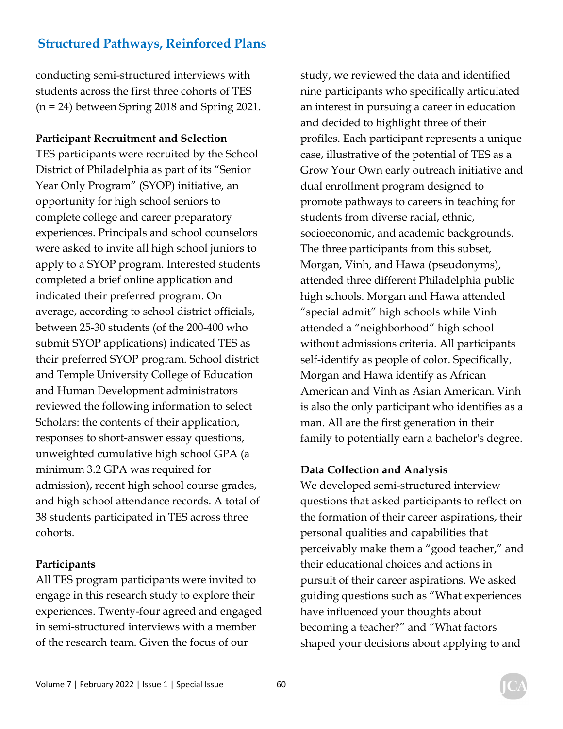conducting semi-structured interviews with students across the first three cohorts of TES (n = 24) between Spring 2018 and Spring 2021.

**Participant Recruitment and Selection** 

TES participants were recruited by the School District of Philadelphia as part of its "Senior Year Only Program" (SYOP) initiative, an opportunity for high school seniors to complete college and career preparatory experiences. Principals and school counselors were asked to invite all high school juniors to apply to a SYOP program. Interested students completed a brief online application and indicated their preferred program. On average, according to school district officials, between 25-30 students (of the 200-400 who submit SYOP applications) indicated TES as their preferred SYOP program. School district and Temple University College of Education and Human Development administrators reviewed the following information to select Scholars: the contents of their application, responses to short-answer essay questions, unweighted cumulative high school GPA (a minimum 3.2 GPA was required for admission), recent high school course grades, and high school attendance records. A total of 38 students participated in TES across three cohorts.

#### **Participants**

All TES program participants were invited to engage in this research study to explore their experiences. Twenty-four agreed and engaged in semi-structured interviews with a member of the research team. Given the focus of our

study, we reviewed the data and identified nine participants who specifically articulated an interest in pursuing a career in education and decided to highlight three of their profiles. Each participant represents a unique case, illustrative of the potential of TES as a Grow Your Own early outreach initiative and dual enrollment program designed to promote pathways to careers in teaching for students from diverse racial, ethnic, socioeconomic, and academic backgrounds. The three participants from this subset, Morgan, Vinh, and Hawa (pseudonyms), attended three different Philadelphia public high schools. Morgan and Hawa attended "special admit" high schools while Vinh attended a "neighborhood" high school without admissions criteria. All participants self-identify as people of color. Specifically, Morgan and Hawa identify as African American and Vinh as Asian American. Vinh is also the only participant who identifies as a man. All are the first generation in their family to potentially earn a bachelor's degree.

#### **Data Collection and Analysis**

We developed semi-structured interview questions that asked participants to reflect on the formation of their career aspirations, their personal qualities and capabilities that perceivably make them a "good teacher," and their educational choices and actions in pursuit of their career aspirations. We asked guiding questions such as "What experiences have influenced your thoughts about becoming a teacher?" and "What factors shaped your decisions about applying to and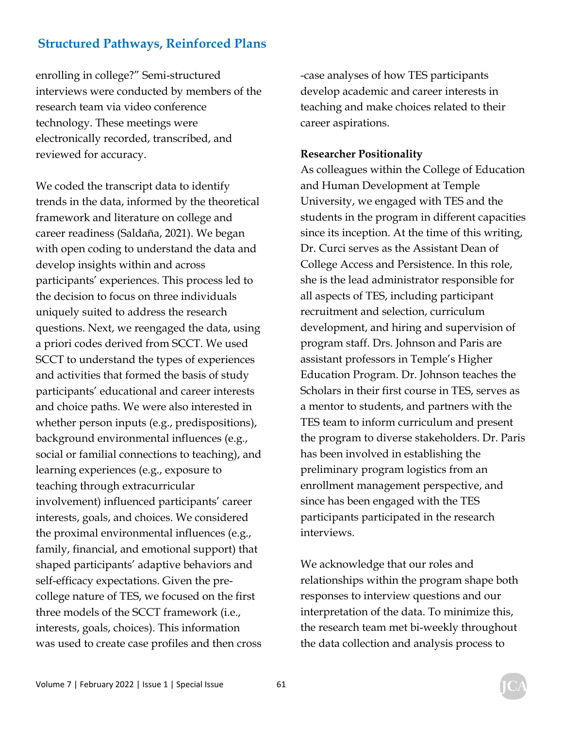enrolling in college?" Semi-structured interviews were conducted by members of the research team via video conference technology. These meetings were electronically recorded, transcribed, and reviewed for accuracy.

We coded the transcript data to identify trends in the data, informed by the theoretical framework and literature on college and career readiness (Saldaña, 2021). We began with open coding to understand the data and develop insights within and across participants' experiences. This process led to the decision to focus on three individuals uniquely suited to address the research questions. Next, we reengaged the data, using a priori codes derived from SCCT. We used SCCT to understand the types of experiences and activities that formed the basis of study participants' educational and career interests and choice paths. We were also interested in whether person inputs (e.g., predispositions), background environmental influences (e.g., social or familial connections to teaching), and learning experiences (e.g., exposure to teaching through extracurricular involvement) influenced participants' career interests, goals, and choices. We considered the proximal environmental influences (e.g., family, financial, and emotional support) that shaped participants' adaptive behaviors and self-efficacy expectations. Given the precollege nature of TES, we focused on the first three models of the SCCT framework (i.e., interests, goals, choices). This information was used to create case profiles and then cross -case analyses of how TES participants develop academic and career interests in teaching and make choices related to their career aspirations.

#### **Researcher Positionality**

As colleagues within the College of Education and Human Development at Temple University, we engaged with TES and the students in the program in different capacities since its inception. At the time of this writing, Dr. Curci serves as the Assistant Dean of College Access and Persistence. In this role, she is the lead administrator responsible for all aspects of TES, including participant recruitment and selection, curriculum development, and hiring and supervision of program staff. Drs. Johnson and Paris are assistant professors in Temple's Higher Education Program. Dr. Johnson teaches the Scholars in their first course in TES, serves as a mentor to students, and partners with the TES team to inform curriculum and present the program to diverse stakeholders. Dr. Paris has been involved in establishing the preliminary program logistics from an enrollment management perspective, and since has been engaged with the TES participants participated in the research interviews.

We acknowledge that our roles and relationships within the program shape both responses to interview questions and our interpretation of the data. To minimize this, the research team met bi-weekly throughout the data collection and analysis process to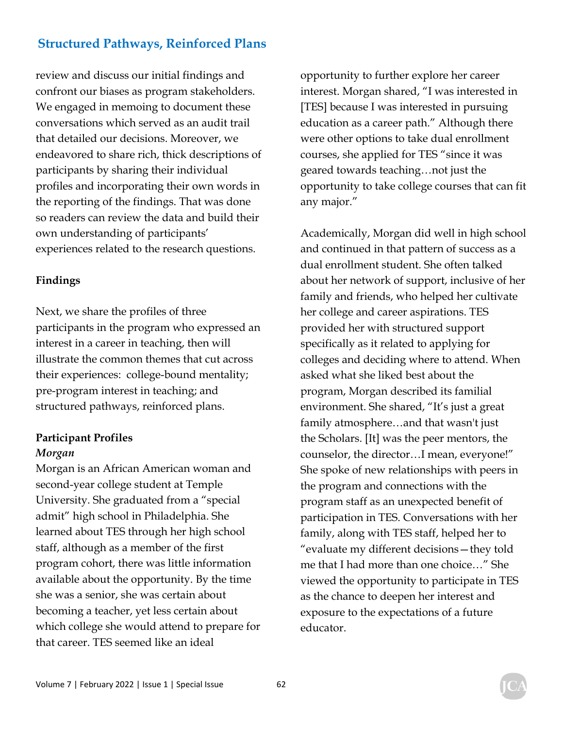review and discuss our initial findings and confront our biases as program stakeholders. We engaged in memoing to document these conversations which served as an audit trail that detailed our decisions. Moreover, we endeavored to share rich, thick descriptions of participants by sharing their individual profiles and incorporating their own words in the reporting of the findings. That was done so readers can review the data and build their own understanding of participants' experiences related to the research questions.

#### **Findings**

Next, we share the profiles of three participants in the program who expressed an interest in a career in teaching, then will illustrate the common themes that cut across their experiences: college-bound mentality; pre-program interest in teaching; and structured pathways, reinforced plans.

#### **Participant Profiles**  *Morgan*

Morgan is an African American woman and second-year college student at Temple University. She graduated from a "special admit" high school in Philadelphia. She learned about TES through her high school staff, although as a member of the first program cohort, there was little information available about the opportunity. By the time she was a senior, she was certain about becoming a teacher, yet less certain about which college she would attend to prepare for that career. TES seemed like an ideal

opportunity to further explore her career interest. Morgan shared, "I was interested in [TES] because I was interested in pursuing education as a career path." Although there were other options to take dual enrollment courses, she applied for TES "since it was geared towards teaching…not just the opportunity to take college courses that can fit any major."

Academically, Morgan did well in high school and continued in that pattern of success as a dual enrollment student. She often talked about her network of support, inclusive of her family and friends, who helped her cultivate her college and career aspirations. TES provided her with structured support specifically as it related to applying for colleges and deciding where to attend. When asked what she liked best about the program, Morgan described its familial environment. She shared, "It's just a great family atmosphere…and that wasn't just the Scholars. [It] was the peer mentors, the counselor, the director…I mean, everyone!" She spoke of new relationships with peers in the program and connections with the program staff as an unexpected benefit of participation in TES. Conversations with her family, along with TES staff, helped her to "evaluate my different decisions—they told me that I had more than one choice…" She viewed the opportunity to participate in TES as the chance to deepen her interest and exposure to the expectations of a future educator.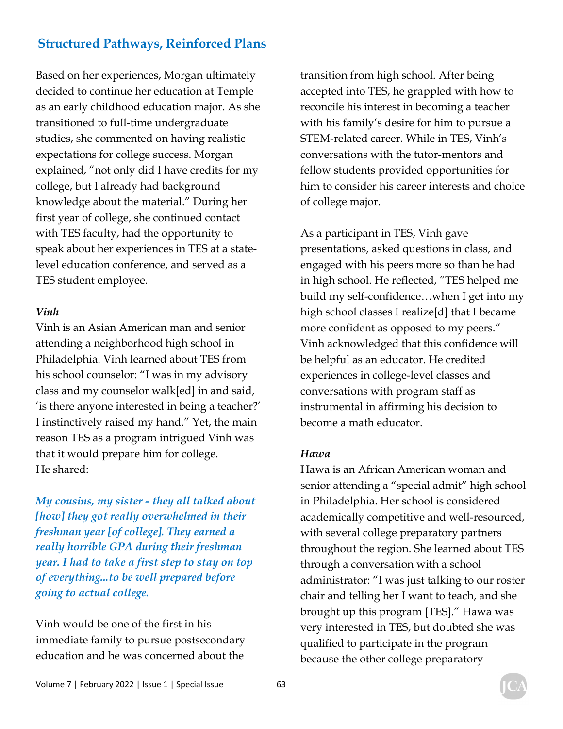Based on her experiences, Morgan ultimately decided to continue her education at Temple as an early childhood education major. As she transitioned to full-time undergraduate studies, she commented on having realistic expectations for college success. Morgan explained, "not only did I have credits for my college, but I already had background knowledge about the material." During her first year of college, she continued contact with TES faculty, had the opportunity to speak about her experiences in TES at a statelevel education conference, and served as a TES student employee.

#### *Vinh*

Vinh is an Asian American man and senior attending a neighborhood high school in Philadelphia. Vinh learned about TES from his school counselor: "I was in my advisory class and my counselor walk[ed] in and said, 'is there anyone interested in being a teacher?' I instinctively raised my hand." Yet, the main reason TES as a program intrigued Vinh was that it would prepare him for college. He shared:

*My cousins, my sister - they all talked about [how] they got really overwhelmed in their freshman year [of college]. They earned a really horrible GPA during their freshman year. I had to take a first step to stay on top of everything...to be well prepared before going to actual college.* 

Vinh would be one of the first in his immediate family to pursue postsecondary education and he was concerned about the

transition from high school. After being accepted into TES, he grappled with how to reconcile his interest in becoming a teacher with his family's desire for him to pursue a STEM-related career. While in TES, Vinh's conversations with the tutor-mentors and fellow students provided opportunities for him to consider his career interests and choice of college major.

As a participant in TES, Vinh gave presentations, asked questions in class, and engaged with his peers more so than he had in high school. He reflected, "TES helped me build my self-confidence…when I get into my high school classes I realize[d] that I became more confident as opposed to my peers." Vinh acknowledged that this confidence will be helpful as an educator. He credited experiences in college-level classes and conversations with program staff as instrumental in affirming his decision to become a math educator.

#### *Hawa*

Hawa is an African American woman and senior attending a "special admit" high school in Philadelphia. Her school is considered academically competitive and well-resourced, with several college preparatory partners throughout the region. She learned about TES through a conversation with a school administrator: "I was just talking to our roster chair and telling her I want to teach, and she brought up this program [TES]." Hawa was very interested in TES, but doubted she was qualified to participate in the program because the other college preparatory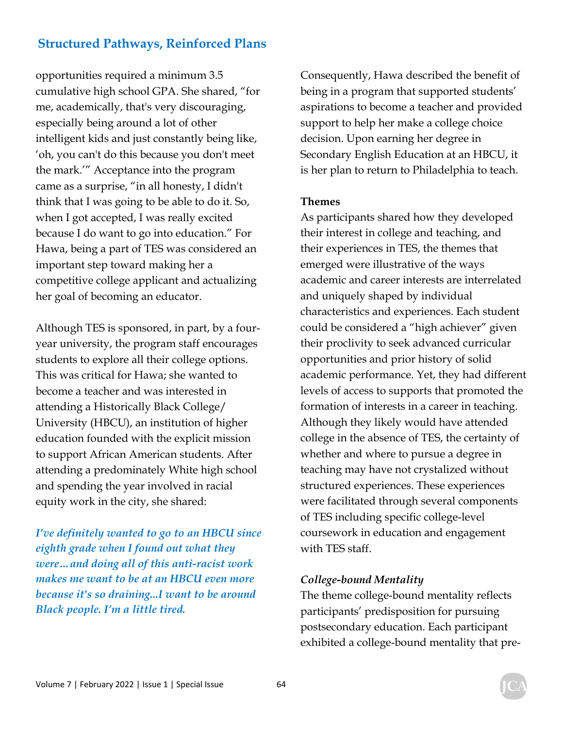opportunities required a minimum 3.5 cumulative high school GPA. She shared, "for me, academically, that's very discouraging, especially being around a lot of other intelligent kids and just constantly being like, 'oh, you can't do this because you don't meet the mark.'" Acceptance into the program came as a surprise, "in all honesty, I didn't think that I was going to be able to do it. So, when I got accepted, I was really excited because I do want to go into education." For Hawa, being a part of TES was considered an important step toward making her a competitive college applicant and actualizing her goal of becoming an educator.

Although TES is sponsored, in part, by a fouryear university, the program staff encourages students to explore all their college options. This was critical for Hawa; she wanted to become a teacher and was interested in attending a Historically Black College/ University (HBCU), an institution of higher education founded with the explicit mission to support African American students. After attending a predominately White high school and spending the year involved in racial equity work in the city, she shared:

*I've definitely wanted to go to an HBCU since eighth grade when I found out what they were…and doing all of this anti-racist work makes me want to be at an HBCU even more because it's so draining...I want to be around Black people. I'm a little tired.* 

Consequently, Hawa described the benefit of being in a program that supported students' aspirations to become a teacher and provided support to help her make a college choice decision. Upon earning her degree in Secondary English Education at an HBCU, it is her plan to return to Philadelphia to teach.

#### **Themes**

As participants shared how they developed their interest in college and teaching, and their experiences in TES, the themes that emerged were illustrative of the ways academic and career interests are interrelated and uniquely shaped by individual characteristics and experiences. Each student could be considered a "high achiever" given their proclivity to seek advanced curricular opportunities and prior history of solid academic performance. Yet, they had different levels of access to supports that promoted the formation of interests in a career in teaching. Although they likely would have attended college in the absence of TES, the certainty of whether and where to pursue a degree in teaching may have not crystalized without structured experiences. These experiences were facilitated through several components of TES including specific college-level coursework in education and engagement with TES staff.

#### *College-bound Mentality*

The theme college-bound mentality reflects participants' predisposition for pursuing postsecondary education. Each participant exhibited a college-bound mentality that pre-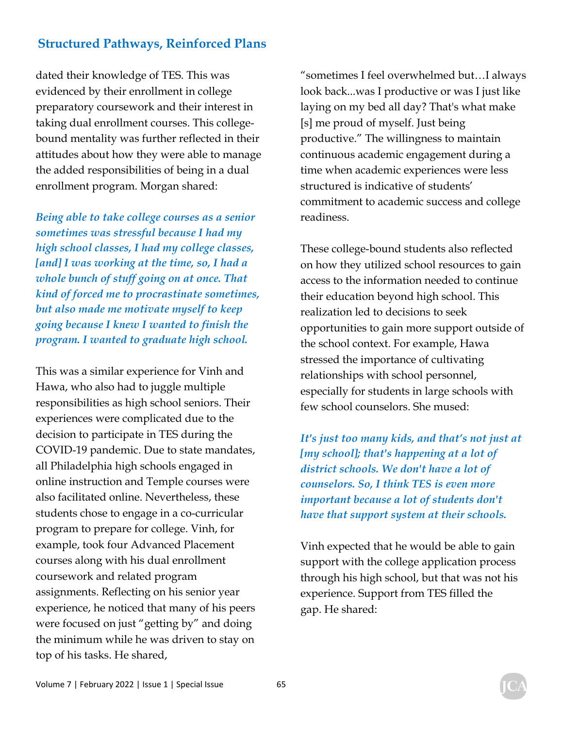dated their knowledge of TES. This was evidenced by their enrollment in college preparatory coursework and their interest in taking dual enrollment courses. This collegebound mentality was further reflected in their attitudes about how they were able to manage the added responsibilities of being in a dual enrollment program. Morgan shared:

*Being able to take college courses as a senior sometimes was stressful because I had my high school classes, I had my college classes, [and] I was working at the time, so, I had a whole bunch of stuff going on at once. That kind of forced me to procrastinate sometimes, but also made me motivate myself to keep going because I knew I wanted to finish the program. I wanted to graduate high school.* 

This was a similar experience for Vinh and Hawa, who also had to juggle multiple responsibilities as high school seniors. Their experiences were complicated due to the decision to participate in TES during the COVID-19 pandemic. Due to state mandates, all Philadelphia high schools engaged in online instruction and Temple courses were also facilitated online. Nevertheless, these students chose to engage in a co-curricular program to prepare for college. Vinh, for example, took four Advanced Placement courses along with his dual enrollment coursework and related program assignments. Reflecting on his senior year experience, he noticed that many of his peers were focused on just "getting by" and doing the minimum while he was driven to stay on top of his tasks. He shared,

"sometimes I feel overwhelmed but…I always look back...was I productive or was I just like laying on my bed all day? That's what make [s] me proud of myself. Just being productive." The willingness to maintain continuous academic engagement during a time when academic experiences were less structured is indicative of students' commitment to academic success and college readiness.

These college-bound students also reflected on how they utilized school resources to gain access to the information needed to continue their education beyond high school. This realization led to decisions to seek opportunities to gain more support outside of the school context. For example, Hawa stressed the importance of cultivating relationships with school personnel, especially for students in large schools with few school counselors. She mused:

*It's just too many kids, and that's not just at [my school]; that's happening at a lot of district schools. We don't have a lot of counselors. So, I think TES is even more important because a lot of students don't have that support system at their schools.* 

Vinh expected that he would be able to gain support with the college application process through his high school, but that was not his experience. Support from TES filled the gap. He shared: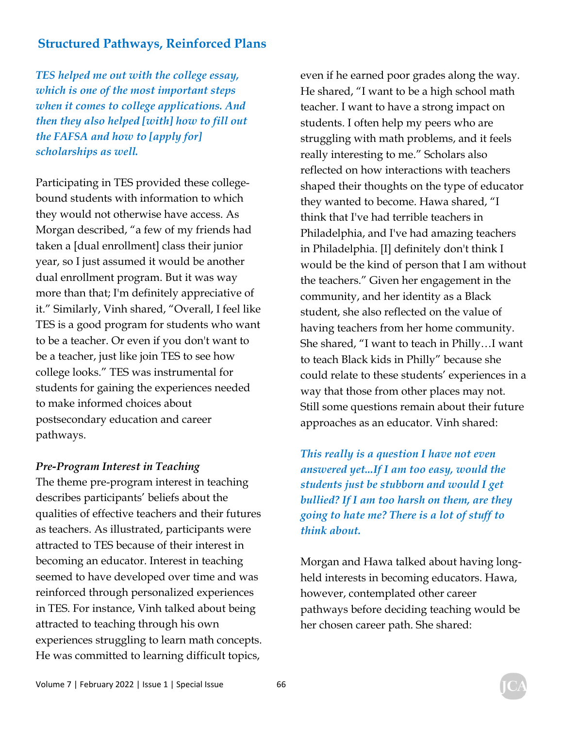*TES helped me out with the college essay, which is one of the most important steps when it comes to college applications. And then they also helped [with] how to fill out the FAFSA and how to [apply for] scholarships as well.* 

Participating in TES provided these collegebound students with information to which they would not otherwise have access. As Morgan described, "a few of my friends had taken a [dual enrollment] class their junior year, so I just assumed it would be another dual enrollment program. But it was way more than that; I'm definitely appreciative of it." Similarly, Vinh shared, "Overall, I feel like TES is a good program for students who want to be a teacher. Or even if you don't want to be a teacher, just like join TES to see how college looks." TES was instrumental for students for gaining the experiences needed to make informed choices about postsecondary education and career pathways.

#### *Pre-Program Interest in Teaching*

The theme pre-program interest in teaching describes participants' beliefs about the qualities of effective teachers and their futures as teachers. As illustrated, participants were attracted to TES because of their interest in becoming an educator. Interest in teaching seemed to have developed over time and was reinforced through personalized experiences in TES. For instance, Vinh talked about being attracted to teaching through his own experiences struggling to learn math concepts. He was committed to learning difficult topics,

even if he earned poor grades along the way. He shared, "I want to be a high school math teacher. I want to have a strong impact on students. I often help my peers who are struggling with math problems, and it feels really interesting to me." Scholars also reflected on how interactions with teachers shaped their thoughts on the type of educator they wanted to become. Hawa shared, "I think that I've had terrible teachers in Philadelphia, and I've had amazing teachers in Philadelphia. [I] definitely don't think I would be the kind of person that I am without the teachers." Given her engagement in the community, and her identity as a Black student, she also reflected on the value of having teachers from her home community. She shared, "I want to teach in Philly…I want to teach Black kids in Philly" because she could relate to these students' experiences in a way that those from other places may not. Still some questions remain about their future approaches as an educator. Vinh shared:

*This really is a question I have not even answered yet...If I am too easy, would the students just be stubborn and would I get bullied? If I am too harsh on them, are they going to hate me? There is a lot of stuff to think about.* 

Morgan and Hawa talked about having longheld interests in becoming educators. Hawa, however, contemplated other career pathways before deciding teaching would be her chosen career path. She shared: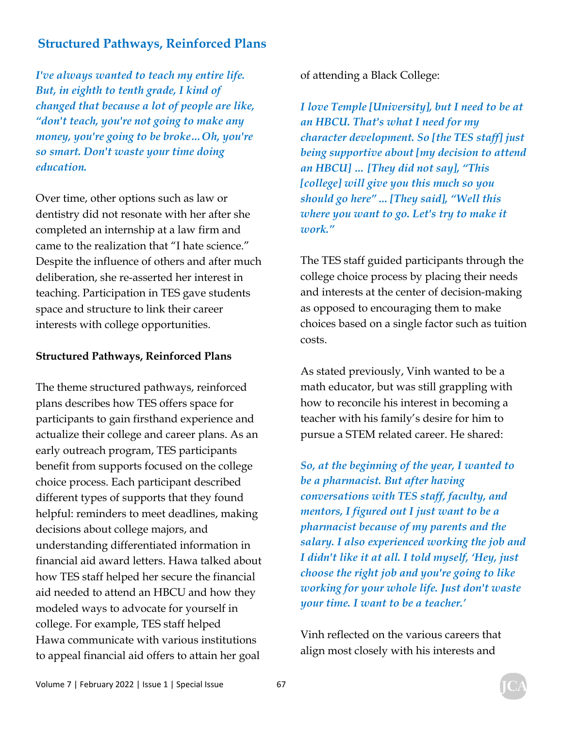*I've always wanted to teach my entire life. But, in eighth to tenth grade, I kind of changed that because a lot of people are like, "don't teach, you're not going to make any money, you're going to be broke…Oh, you're so smart. Don't waste your time doing education.* 

Over time, other options such as law or dentistry did not resonate with her after she completed an internship at a law firm and came to the realization that "I hate science." Despite the influence of others and after much deliberation, she re-asserted her interest in teaching. Participation in TES gave students space and structure to link their career interests with college opportunities.

#### **Structured Pathways, Reinforced Plans**

The theme structured pathways, reinforced plans describes how TES offers space for participants to gain firsthand experience and actualize their college and career plans. As an early outreach program, TES participants benefit from supports focused on the college choice process. Each participant described different types of supports that they found helpful: reminders to meet deadlines, making decisions about college majors, and understanding differentiated information in financial aid award letters. Hawa talked about how TES staff helped her secure the financial aid needed to attend an HBCU and how they modeled ways to advocate for yourself in college. For example, TES staff helped Hawa communicate with various institutions to appeal financial aid offers to attain her goal

of attending a Black College:

*I love Temple [University], but I need to be at an HBCU. That's what I need for my character development. So [the TES staff] just being supportive about [my decision to attend an HBCU] … [They did not say], "This [college] will give you this much so you should go here" ... [They said], "Well this where you want to go. Let's try to make it work."* 

The TES staff guided participants through the college choice process by placing their needs and interests at the center of decision-making as opposed to encouraging them to make choices based on a single factor such as tuition costs.

As stated previously, Vinh wanted to be a math educator, but was still grappling with how to reconcile his interest in becoming a teacher with his family's desire for him to pursue a STEM related career. He shared:

*So, at the beginning of the year, I wanted to be a pharmacist. But after having conversations with TES staff, faculty, and mentors, I figured out I just want to be a pharmacist because of my parents and the salary. I also experienced working the job and I didn't like it at all. I told myself, 'Hey, just choose the right job and you're going to like working for your whole life. Just don't waste your time. I want to be a teacher.'* 

Vinh reflected on the various careers that align most closely with his interests and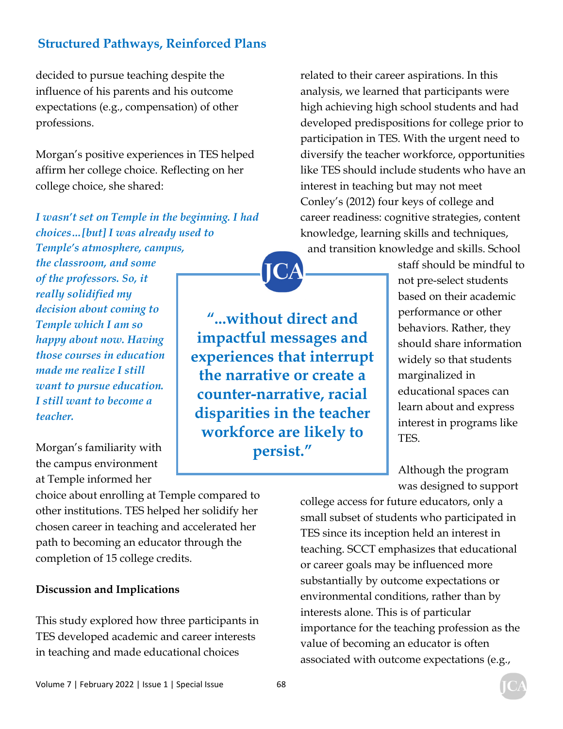decided to pursue teaching despite the influence of his parents and his outcome expectations (e.g., compensation) of other professions.

Morgan's positive experiences in TES helped affirm her college choice. Reflecting on her college choice, she shared:

*I wasn't set on Temple in the beginning. I had choices…[but] I was already used to Temple's atmosphere, campus, the classroom, and some of the professors. So, it really solidified my decision about coming to Temple which I am so happy about now. Having those courses in education made me realize I still want to pursue education. I still want to become a teacher.*  **"...without direct and impactful messages and experiences that interrupt the narrative or create a counter-narrative, racial disparities in the teacher workforce are likely to** 

Morgan's familiarity with the campus environment at Temple informed her

choice about enrolling at Temple compared to other institutions. TES helped her solidify her chosen career in teaching and accelerated her path to becoming an educator through the completion of 15 college credits.

#### **Discussion and Implications**

This study explored how three participants in TES developed academic and career interests in teaching and made educational choices

related to their career aspirations. In this analysis, we learned that participants were high achieving high school students and had developed predispositions for college prior to participation in TES. With the urgent need to diversify the teacher workforce, opportunities like TES should include students who have an interest in teaching but may not meet Conley's (2012) four keys of college and career readiness: cognitive strategies, content knowledge, learning skills and techniques, and transition knowledge and skills. School

> staff should be mindful to not pre-select students based on their academic performance or other behaviors. Rather, they should share information widely so that students marginalized in educational spaces can learn about and express interest in programs like TES.

Although the program was designed to support

college access for future educators, only a small subset of students who participated in TES since its inception held an interest in teaching. SCCT emphasizes that educational or career goals may be influenced more substantially by outcome expectations or environmental conditions, rather than by interests alone. This is of particular importance for the teaching profession as the value of becoming an educator is often associated with outcome expectations (e.g.,

**persist."**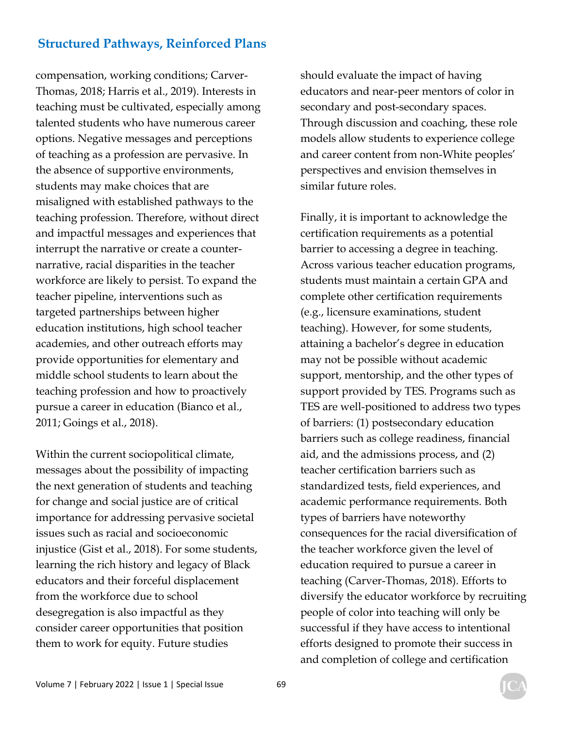compensation, working conditions; Carver-Thomas, 2018; Harris et al., 2019). Interests in teaching must be cultivated, especially among talented students who have numerous career options. Negative messages and perceptions of teaching as a profession are pervasive. In the absence of supportive environments, students may make choices that are misaligned with established pathways to the teaching profession. Therefore, without direct and impactful messages and experiences that interrupt the narrative or create a counternarrative, racial disparities in the teacher workforce are likely to persist. To expand the teacher pipeline, interventions such as targeted partnerships between higher education institutions, high school teacher academies, and other outreach efforts may provide opportunities for elementary and middle school students to learn about the teaching profession and how to proactively pursue a career in education (Bianco et al., 2011; Goings et al., 2018).

Within the current sociopolitical climate, messages about the possibility of impacting the next generation of students and teaching for change and social justice are of critical importance for addressing pervasive societal issues such as racial and socioeconomic injustice (Gist et al., 2018). For some students, learning the rich history and legacy of Black educators and their forceful displacement from the workforce due to school desegregation is also impactful as they consider career opportunities that position them to work for equity. Future studies

should evaluate the impact of having educators and near-peer mentors of color in secondary and post-secondary spaces. Through discussion and coaching, these role models allow students to experience college and career content from non-White peoples' perspectives and envision themselves in similar future roles.

Finally, it is important to acknowledge the certification requirements as a potential barrier to accessing a degree in teaching. Across various teacher education programs, students must maintain a certain GPA and complete other certification requirements (e.g., licensure examinations, student teaching). However, for some students, attaining a bachelor's degree in education may not be possible without academic support, mentorship, and the other types of support provided by TES. Programs such as TES are well-positioned to address two types of barriers: (1) postsecondary education barriers such as college readiness, financial aid, and the admissions process, and (2) teacher certification barriers such as standardized tests, field experiences, and academic performance requirements. Both types of barriers have noteworthy consequences for the racial diversification of the teacher workforce given the level of education required to pursue a career in teaching (Carver-Thomas, 2018). Efforts to diversify the educator workforce by recruiting people of color into teaching will only be successful if they have access to intentional efforts designed to promote their success in and completion of college and certification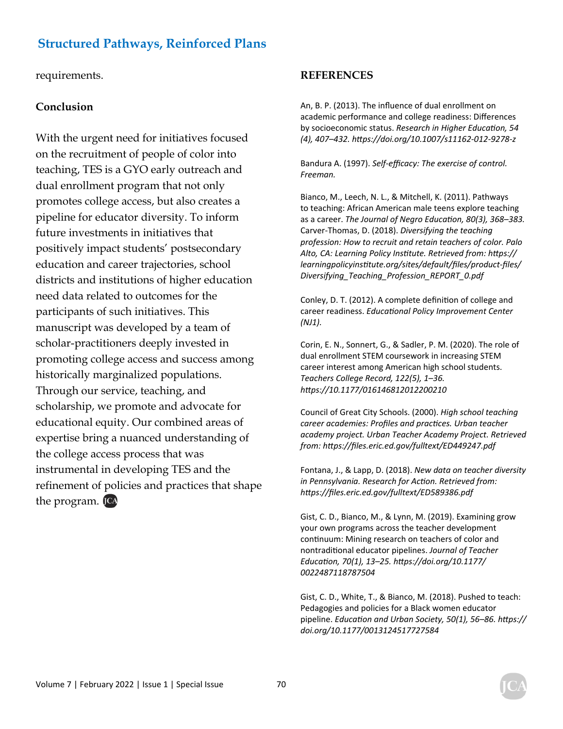requirements.

#### **Conclusion**

With the urgent need for initiatives focused on the recruitment of people of color into teaching, TES is a GYO early outreach and dual enrollment program that not only promotes college access, but also creates a pipeline for educator diversity. To inform future investments in initiatives that positively impact students' postsecondary education and career trajectories, school districts and institutions of higher education need data related to outcomes for the participants of such initiatives. This manuscript was developed by a team of scholar-practitioners deeply invested in promoting college access and success among historically marginalized populations. Through our service, teaching, and scholarship, we promote and advocate for educational equity. Our combined areas of expertise bring a nuanced understanding of the college access process that was instrumental in developing TES and the refinement of policies and practices that shape the program. **ICA** 

#### **REFERENCES**

An, B. P. (2013). The influence of dual enrollment on academic performance and college readiness: Differences by socioeconomic status. Research in Higher Education, 54 *(4), 407–432. hƩps://doi.org/10.1007/s11162-012-9278-z* 

Bandura A. (1997). *Self-efficacy: The exercise of control. Freeman.* 

Bianco, M., Leech, N. L., & Mitchell, K. (2011). Pathways to teaching: African American male teens explore teaching as a career. *The Journal of Negro Education, 80(3), 368-383.* Carver-Thomas, D. (2018). *Diversifying the teaching profession: How to recruit and retain teachers of color. Palo Alto, CA: Learning Policy InsƟtute. Retrieved from: hƩps:// learningpolicyinsƟtute.org/sites/default/files/product-files/ Diversifying\_Teaching\_Profession\_REPORT\_0.pdf* 

Conley, D. T. (2012). A complete definition of college and career readiness. *EducaƟonal Policy Improvement Center (NJ1).*

Corin, E. N., Sonnert, G., & Sadler, P. M. (2020). The role of dual enrollment STEM coursework in increasing STEM career interest among American high school students. *Teachers College Record, 122(5), 1–36. hƩps://10.1177/016146812012200210* 

Council of Great City Schools. (2000). *High school teaching career academies: Profiles and pracƟces. Urban teacher academy project. Urban Teacher Academy Project. Retrieved from: hƩps://files.eric.ed.gov/fulltext/ED449247.pdf* 

Fontana, J., & Lapp, D. (2018). *New data on teacher diversity in Pennsylvania. Research for AcƟon. Retrieved from: hƩps://files.eric.ed.gov/fulltext/ED589386.pdf* 

Gist, C. D., Bianco, M., & Lynn, M. (2019). Examining grow your own programs across the teacher development continuum: Mining research on teachers of color and nontradiƟonal educator pipelines. *Journal of Teacher EducaƟon, 70(1), 13–25. hƩps://doi.org/10.1177/ 0022487118787504* 

Gist, C. D., White, T., & Bianco, M. (2018). Pushed to teach: Pedagogies and policies for a Black women educator pipeline. *EducaƟon and Urban Society, 50(1), 56–86. hƩps:// doi.org/10.1177/0013124517727584*